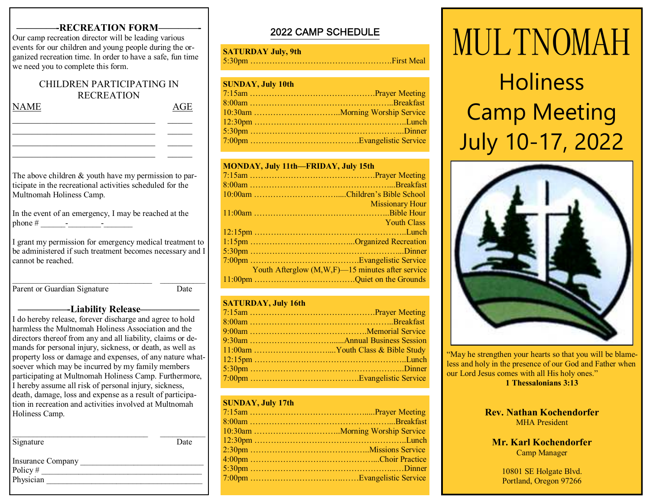## **-RECREATION FORM-**

Our camp recreation director will be leading various events for our children and young people during the organized recreation time. In order to have a safe, fun time we need you to complete this form.

## CHILDREN PARTICIPATING IN RECREATION

\_\_\_\_\_\_\_\_\_\_\_\_\_\_\_\_\_\_\_\_\_\_\_\_\_\_\_\_\_ \_\_\_\_\_  $\sim$  . The contribution of the contribution of the contribution of the contribution of the contribution of the contribution of the contribution of the contribution of the contribution of the contribution of the contributi

\_\_\_\_\_\_\_\_\_\_\_\_\_\_\_\_\_\_\_\_\_\_\_\_\_\_\_\_\_ \_\_\_\_\_

NAME AGE

The above children & youth have my permission to participate in the recreational activities scheduled for the Multnomah Holiness Camp.

In the event of an emergency, I may be reached at the phone  $\#$   $\qquad \qquad -$ 

I grant my permission for emergency medical treatment to be administered if such treatment becomes necessary and I cannot be reached.

Parent or Guardian Signature Date

\_\_\_\_\_\_\_\_\_\_\_\_\_\_\_\_\_\_\_\_\_\_\_\_\_\_\_\_\_\_\_\_\_\_ \_\_\_\_\_\_\_\_\_\_\_

## **—————-Liability Release——————**

I do hereby release, forever discharge and agree to hold harmless the Multnomah Holiness Association and the directors thereof from any and all liability, claims or demands for personal injury, sickness, or death, as well as property loss or damage and expenses, of any nature whatsoever which may be incurred by my family members participating at Multnomah Holiness Camp. Furthermore, I hereby assume all risk of personal injury, sickness, death, damage, loss and expense as a result of participation in recreation and activities involved at Multnomah Holiness Camp.

| Signature                    | Date |
|------------------------------|------|
| Insurance Company<br>Policy# |      |
| Physician                    |      |

## 2022 CAMP SCHEDULE

## **SATURDAY July, 9th**

5:30pm …………………………………………….First Meal

## **SUNDAY, July 10th**

#### **MONDAY, July 11th—FRIDAY, July 15th**

| <b>Missionary Hour</b>                                                                                                                                |
|-------------------------------------------------------------------------------------------------------------------------------------------------------|
|                                                                                                                                                       |
| <b>Youth Class</b><br>$\mathcal{L}^{\text{max}}_{\text{max}}$ and $\mathcal{L}^{\text{max}}_{\text{max}}$ and $\mathcal{L}^{\text{max}}_{\text{max}}$ |
|                                                                                                                                                       |
|                                                                                                                                                       |
|                                                                                                                                                       |
|                                                                                                                                                       |
| Youth Afterglow (M,W,F)-15 minutes after service                                                                                                      |
|                                                                                                                                                       |
|                                                                                                                                                       |

### **SATURDAY, July 16th**

## **SUNDAY, July 17th**

# MULTNOMAH**Holiness** Camp MeetingJuly 10-17, 2022



"May he strengthen your hearts so that you will be blameless and holy in the presence of our God and Father when our Lord Jesus comes with all His holy ones." **1 Thessalonians 3:13** 

### **Rev. Nathan Kochendorfer** MHA President

## **Mr. Karl Kochendorfer** Camp Manager

10801 SE Holgate Blvd. Portland, Oregon 97266